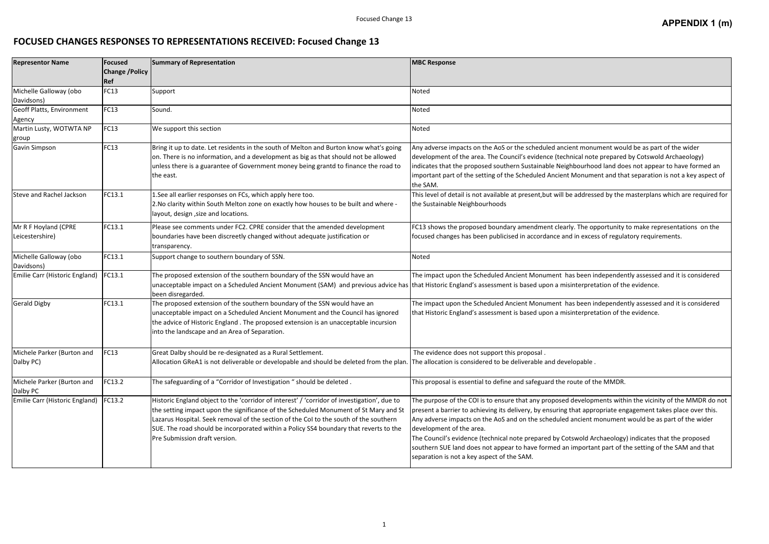## **FOCUSED CHANGES RESPONSES TO REPRESENTATIONS RECEIVED: Focused Change 13**

## Focused Change 13 **Appendix 3(m) APPENDIX 1 (m)**

| monument would be as part of the wider                                                                                                           |
|--------------------------------------------------------------------------------------------------------------------------------------------------|
| I note prepared by Cotswold Archaeology)                                                                                                         |
| urhood land does not appear to have formed an                                                                                                    |
| nument and that separation is not a key aspect of                                                                                                |
| dressed by the masterplans which are required for                                                                                                |
|                                                                                                                                                  |
| he opportunity to make representations on the<br>excess of regulatory requirements.                                                              |
|                                                                                                                                                  |
|                                                                                                                                                  |
| een independently assessed and it is considered                                                                                                  |
| rpretation of the evidence.                                                                                                                      |
| een independently assessed and it is considered                                                                                                  |
| rpretation of the evidence.                                                                                                                      |
|                                                                                                                                                  |
|                                                                                                                                                  |
| able .                                                                                                                                           |
| e of the MMDR.                                                                                                                                   |
| elopments within the vicinity of the MMDR do not<br>appropriate engagement takes place over this.<br>ient monument would be as part of the wider |
| ald Archaeology) indicates that the propo                                                                                                        |

| <b>Representor Name</b>                | <b>Focused</b>                | Summary of Representation                                                                                                                                                                                                                                                                                                                                                                              | <b>MBC Response</b>                                                                                                                                                                                                                                                                                                                                                                                                                                                                                                                                                                                                       |  |
|----------------------------------------|-------------------------------|--------------------------------------------------------------------------------------------------------------------------------------------------------------------------------------------------------------------------------------------------------------------------------------------------------------------------------------------------------------------------------------------------------|---------------------------------------------------------------------------------------------------------------------------------------------------------------------------------------------------------------------------------------------------------------------------------------------------------------------------------------------------------------------------------------------------------------------------------------------------------------------------------------------------------------------------------------------------------------------------------------------------------------------------|--|
|                                        | <b>Change / Policy</b><br>Ref |                                                                                                                                                                                                                                                                                                                                                                                                        |                                                                                                                                                                                                                                                                                                                                                                                                                                                                                                                                                                                                                           |  |
| Michelle Galloway (obo                 | FC13                          | Support                                                                                                                                                                                                                                                                                                                                                                                                | Noted                                                                                                                                                                                                                                                                                                                                                                                                                                                                                                                                                                                                                     |  |
| Davidsons)                             |                               |                                                                                                                                                                                                                                                                                                                                                                                                        |                                                                                                                                                                                                                                                                                                                                                                                                                                                                                                                                                                                                                           |  |
| Geoff Platts, Environment              | FC13                          | Sound.                                                                                                                                                                                                                                                                                                                                                                                                 | Noted                                                                                                                                                                                                                                                                                                                                                                                                                                                                                                                                                                                                                     |  |
| Agency                                 |                               |                                                                                                                                                                                                                                                                                                                                                                                                        |                                                                                                                                                                                                                                                                                                                                                                                                                                                                                                                                                                                                                           |  |
| Martin Lusty, WOTWTA NP                | FC13                          | We support this section                                                                                                                                                                                                                                                                                                                                                                                | Noted                                                                                                                                                                                                                                                                                                                                                                                                                                                                                                                                                                                                                     |  |
| group                                  |                               |                                                                                                                                                                                                                                                                                                                                                                                                        |                                                                                                                                                                                                                                                                                                                                                                                                                                                                                                                                                                                                                           |  |
| Gavin Simpson                          | FC13                          | Bring it up to date. Let residents in the south of Melton and Burton know what's going<br>on. There is no information, and a development as big as that should not be allowed<br>unless there is a guarantee of Government money being grantd to finance the road to<br>the east.                                                                                                                      | Any adverse impacts on the AoS or the scheduled ancient monument would be as part of the wider<br>development of the area. The Council's evidence (technical note prepared by Cotswold Archaeology)<br>indicates that the proposed southern Sustainable Neighbourhood land does not appear to have formed an<br>important part of the setting of the Scheduled Ancient Monument and that separation is not a key aspect of<br>the SAM.                                                                                                                                                                                    |  |
| Steve and Rachel Jackson               | FC13.1                        | 1. See all earlier responses on FCs, which apply here too.<br>2. No clarity within South Melton zone on exactly how houses to be built and where -<br>layout, design, size and locations.                                                                                                                                                                                                              | This level of detail is not available at present, but will be addressed by the masterplans which are required for<br>the Sustainable Neighbourhoods                                                                                                                                                                                                                                                                                                                                                                                                                                                                       |  |
| Mr R F Hoyland (CPRE                   | FC13.1                        | Please see comments under FC2. CPRE consider that the amended development                                                                                                                                                                                                                                                                                                                              | FC13 shows the proposed boundary amendment clearly. The opportunity to make representations on the                                                                                                                                                                                                                                                                                                                                                                                                                                                                                                                        |  |
| Leicestershire)                        |                               | boundaries have been discreetly changed without adequate justification or<br>transparency.                                                                                                                                                                                                                                                                                                             | focused changes has been publicised in accordance and in excess of regulatory requirements.                                                                                                                                                                                                                                                                                                                                                                                                                                                                                                                               |  |
| Michelle Galloway (obo<br>Davidsons)   | FC13.1                        | Support change to southern boundary of SSN.                                                                                                                                                                                                                                                                                                                                                            | Noted                                                                                                                                                                                                                                                                                                                                                                                                                                                                                                                                                                                                                     |  |
| Emilie Carr (Historic England)         | FC13.1                        | The proposed extension of the southern boundary of the SSN would have an<br>unacceptable impact on a Scheduled Ancient Monument (SAM) and previous advice has that Historic England's assessment is based upon a misinterpretation of the evidence.<br>been disregarded.                                                                                                                               | The impact upon the Scheduled Ancient Monument has been independently assessed and it is considered                                                                                                                                                                                                                                                                                                                                                                                                                                                                                                                       |  |
| Gerald Digby                           | FC13.1                        | The proposed extension of the southern boundary of the SSN would have an<br>unacceptable impact on a Scheduled Ancient Monument and the Council has ignored<br>the advice of Historic England . The proposed extension is an unacceptable incursion<br>into the landscape and an Area of Separation.                                                                                                   | The impact upon the Scheduled Ancient Monument has been independently assessed and it is considered<br>that Historic England's assessment is based upon a misinterpretation of the evidence.                                                                                                                                                                                                                                                                                                                                                                                                                              |  |
| Michele Parker (Burton and             | FC13                          | Great Dalby should be re-designated as a Rural Settlement.                                                                                                                                                                                                                                                                                                                                             | The evidence does not support this proposal.                                                                                                                                                                                                                                                                                                                                                                                                                                                                                                                                                                              |  |
| Dalby PC)                              |                               | Allocation GReA1 is not deliverable or developable and should be deleted from the plan. The allocation is considered to be deliverable and developable.                                                                                                                                                                                                                                                |                                                                                                                                                                                                                                                                                                                                                                                                                                                                                                                                                                                                                           |  |
| Michele Parker (Burton and<br>Dalby PC | FC13.2                        | The safeguarding of a "Corridor of Investigation " should be deleted.                                                                                                                                                                                                                                                                                                                                  | This proposal is essential to define and safeguard the route of the MMDR.                                                                                                                                                                                                                                                                                                                                                                                                                                                                                                                                                 |  |
| Emilie Carr (Historic England)         | FC13.2                        | Historic England object to the 'corridor of interest' / 'corridor of investigation', due to<br>the setting impact upon the significance of the Scheduled Monument of St Mary and St<br>Lazarus Hospital. Seek removal of the section of the CoI to the south of the southern<br>SUE. The road should be incorporated within a Policy SS4 boundary that reverts to the<br>Pre Submission draft version. | The purpose of the COI is to ensure that any proposed developments within the vicinity of the MMDR do not<br>present a barrier to achieving its delivery, by ensuring that appropriate engagement takes place over this.<br>Any adverse impacts on the AoS and on the scheduled ancient monument would be as part of the wider<br>development of the area.<br>The Council's evidence (technical note prepared by Cotswold Archaeology) indicates that the proposed<br>southern SUE land does not appear to have formed an important part of the setting of the SAM and that<br>separation is not a key aspect of the SAM. |  |